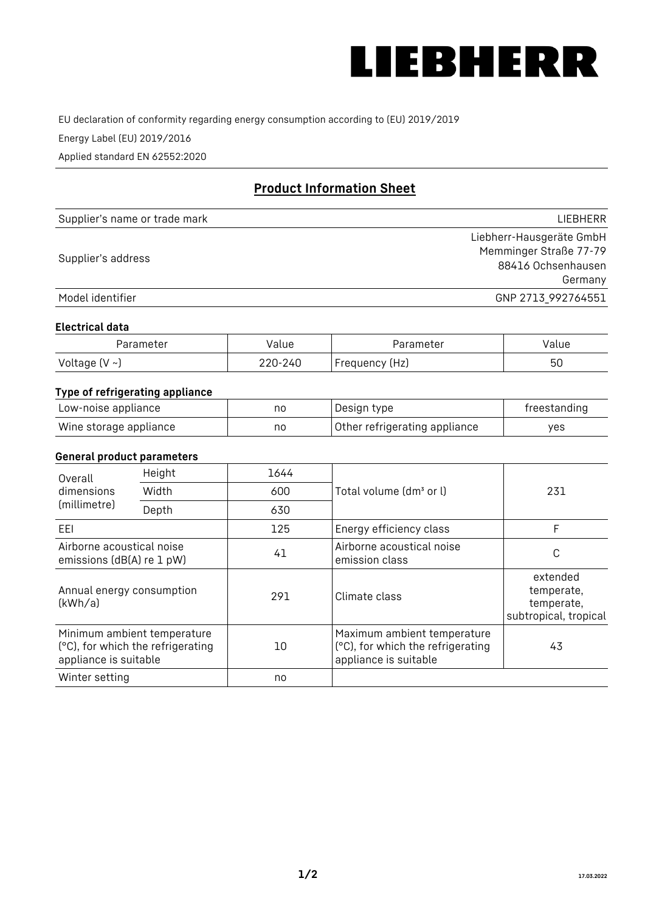

EU declaration of conformity regarding energy consumption according to (EU) 2019/2019

Energy Label (EU) 2019/2016

Applied standard EN 62552:2020

# **Product Information Sheet**

| Supplier's name or trade mark | <b>LIFBHFRR</b>          |
|-------------------------------|--------------------------|
|                               | Liebherr-Hausgeräte GmbH |
| Supplier's address            | Memminger Straße 77-79   |
|                               | 88416 Ochsenhausen       |
|                               | Germany                  |
| Model identifier              | GNP 2713 992764551       |

#### **Electrical data**

| Parameter           | Value   | Parameter      | Value |
|---------------------|---------|----------------|-------|
| Voltage (V $\sim$ ) | 220-240 | Frequency (Hz) | 50    |

## **Type of refrigerating appliance**

| Low-noise appliance    | nc | Design type                   | freestanding |
|------------------------|----|-------------------------------|--------------|
| Wine storage appliance | nc | Other refrigerating appliance | ves          |

## **General product parameters**

| Overall                                                | Height                                                           | 1644 |                                                                                           | 231                                                           |
|--------------------------------------------------------|------------------------------------------------------------------|------|-------------------------------------------------------------------------------------------|---------------------------------------------------------------|
| dimensions<br>(millimetre)                             | Width                                                            | 600  | Total volume (dm <sup>3</sup> or l)                                                       |                                                               |
|                                                        | Depth                                                            | 630  |                                                                                           |                                                               |
| EEL                                                    |                                                                  | 125  | Energy efficiency class                                                                   | F                                                             |
| Airborne acoustical noise<br>emissions (dB(A) re 1 pW) |                                                                  | 41   | Airborne acoustical noise<br>emission class                                               | С                                                             |
| Annual energy consumption<br>(kWh/a)                   |                                                                  | 291  | Climate class                                                                             | extended<br>temperate,<br>temperate,<br>subtropical, tropical |
| appliance is suitable                                  | Minimum ambient temperature<br>(°C), for which the refrigerating | 10   | Maximum ambient temperature<br>(°C), for which the refrigerating<br>appliance is suitable | 43                                                            |
| Winter setting                                         |                                                                  | no   |                                                                                           |                                                               |